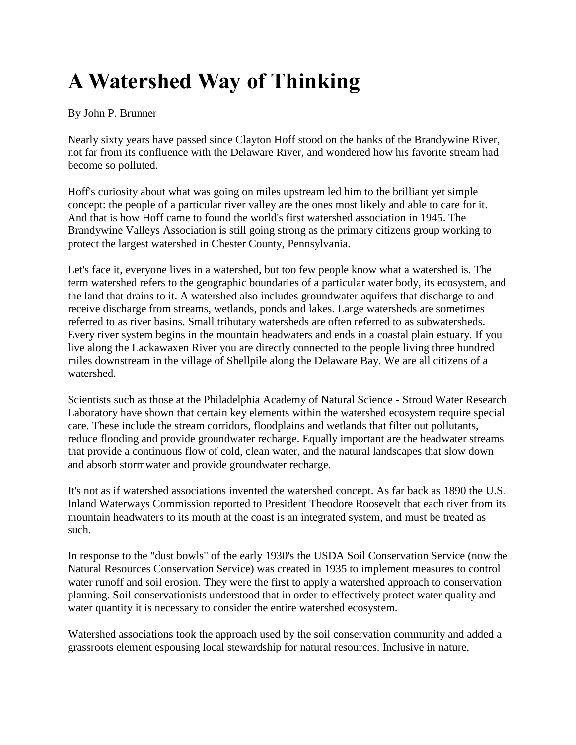## **A Watershed Way of Thinking**

## By John P. Brunner

Nearly sixty years have passed since Clayton Hoff stood on the banks of the Brandywine River, not far from its confluence with the Delaware River, and wondered how his favorite stream had become so polluted.

Hoff's curiosity about what was going on miles upstream led him to the brilliant yet simple concept: the people of a particular river valley are the ones most likely and able to care for it. And that is how Hoff came to found the world's first watershed association in 1945. The Brandywine Valleys Association is still going strong as the primary citizens group working to protect the largest watershed in Chester County, Pennsylvania.

Let's face it, everyone lives in a watershed, but too few people know what a watershed is. The term watershed refers to the geographic boundaries of a particular water body, its ecosystem, and the land that drains to it. A watershed also includes groundwater aquifers that discharge to and receive discharge from streams, wetlands, ponds and lakes. Large watersheds are sometimes referred to as river basins. Small tributary watersheds are often referred to as subwatersheds. Every river system begins in the mountain headwaters and ends in a coastal plain estuary. If you live along the Lackawaxen River you are directly connected to the people living three hundred miles downstream in the village of Shellpile along the Delaware Bay. We are all citizens of a watershed.

Scientists such as those at the Philadelphia Academy of Natural Science - Stroud Water Research Laboratory have shown that certain key elements within the watershed ecosystem require special care. These include the stream corridors, floodplains and wetlands that filter out pollutants, reduce flooding and provide groundwater recharge. Equally important are the headwater streams that provide a continuous flow of cold, clean water, and the natural landscapes that slow down and absorb stormwater and provide groundwater recharge.

It's not as if watershed associations invented the watershed concept. As far back as 1890 the U.S. Inland Waterways Commission reported to President Theodore Roosevelt that each river from its mountain headwaters to its mouth at the coast is an integrated system, and must be treated as such.

In response to the "dust bowls" of the early 1930's the USDA Soil Conservation Service (now the Natural Resources Conservation Service) was created in 1935 to implement measures to control water runoff and soil erosion. They were the first to apply a watershed approach to conservation planning. Soil conservationists understood that in order to effectively protect water quality and water quantity it is necessary to consider the entire watershed ecosystem.

Watershed associations took the approach used by the soil conservation community and added a grassroots element espousing local stewardship for natural resources. Inclusive in nature,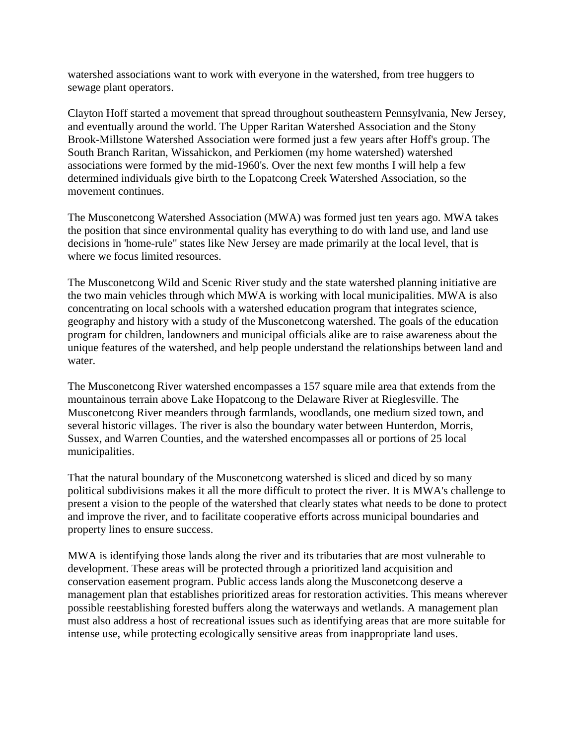watershed associations want to work with everyone in the watershed, from tree huggers to sewage plant operators.

Clayton Hoff started a movement that spread throughout southeastern Pennsylvania, New Jersey, and eventually around the world. The Upper Raritan Watershed Association and the Stony Brook-Millstone Watershed Association were formed just a few years after Hoff's group. The South Branch Raritan, Wissahickon, and Perkiomen (my home watershed) watershed associations were formed by the mid-1960's. Over the next few months I will help a few determined individuals give birth to the Lopatcong Creek Watershed Association, so the movement continues.

The Musconetcong Watershed Association (MWA) was formed just ten years ago. MWA takes the position that since environmental quality has everything to do with land use, and land use decisions in 'home-rule" states like New Jersey are made primarily at the local level, that is where we focus limited resources.

The Musconetcong Wild and Scenic River study and the state watershed planning initiative are the two main vehicles through which MWA is working with local municipalities. MWA is also concentrating on local schools with a watershed education program that integrates science, geography and history with a study of the Musconetcong watershed. The goals of the education program for children, landowners and municipal officials alike are to raise awareness about the unique features of the watershed, and help people understand the relationships between land and water.

The Musconetcong River watershed encompasses a 157 square mile area that extends from the mountainous terrain above Lake Hopatcong to the Delaware River at Rieglesville. The Musconetcong River meanders through farmlands, woodlands, one medium sized town, and several historic villages. The river is also the boundary water between Hunterdon, Morris, Sussex, and Warren Counties, and the watershed encompasses all or portions of 25 local municipalities.

That the natural boundary of the Musconetcong watershed is sliced and diced by so many political subdivisions makes it all the more difficult to protect the river. It is MWA's challenge to present a vision to the people of the watershed that clearly states what needs to be done to protect and improve the river, and to facilitate cooperative efforts across municipal boundaries and property lines to ensure success.

MWA is identifying those lands along the river and its tributaries that are most vulnerable to development. These areas will be protected through a prioritized land acquisition and conservation easement program. Public access lands along the Musconetcong deserve a management plan that establishes prioritized areas for restoration activities. This means wherever possible reestablishing forested buffers along the waterways and wetlands. A management plan must also address a host of recreational issues such as identifying areas that are more suitable for intense use, while protecting ecologically sensitive areas from inappropriate land uses.